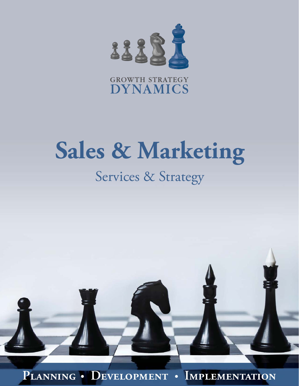

# **Sales & Marketing** Services & Strategy

**Planning • Development • Implementation**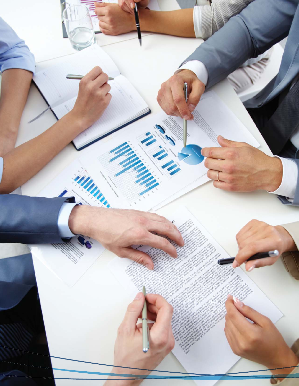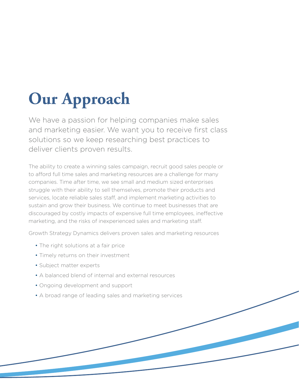## **Our Approach**

We have a passion for helping companies make sales and marketing easier. We want you to receive first class solutions so we keep researching best practices to deliver clients proven results.

The ability to create a winning sales campaign, recruit good sales people or to afford full time sales and marketing resources are a challenge for many companies. Time after time, we see small and medium sized enterprises struggle with their ability to sell themselves, promote their products and services, locate reliable sales staff, and implement marketing activities to sustain and grow their business. We continue to meet businesses that are discouraged by costly impacts of expensive full time employees, ineffective marketing, and the risks of inexperienced sales and marketing staff.

Growth Strategy Dynamics delivers proven sales and marketing resources

- The right solutions at a fair price
- Timely returns on their investment
- Subject matter experts
- A balanced blend of internal and external resources
- Ongoing development and support
- A broad range of leading sales and marketing services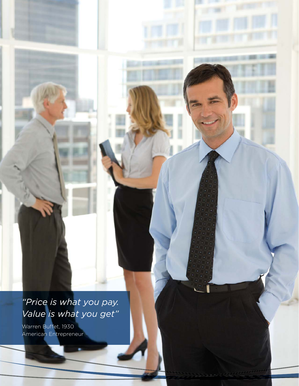*"Price is what you pay. Value is what you get"*

Warren Buffet, 1930 American Entrepreneur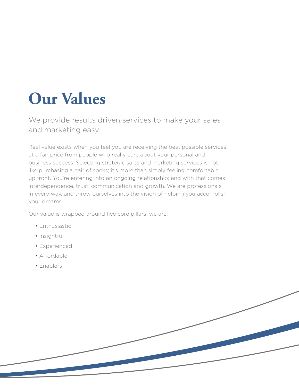## **Our Values**

We provide results driven services to make your sales and marketing easy!

Real value exists when you feel you are receiving the best possible services at a fair price from people who really care about your personal and business success. Selecting strategic sales and marketing services is not like purchasing a pair of socks; it's more than simply feeling comfortable up front. You're entering into an ongoing relationship; and with that comes interdependence, trust, communication and growth. We are professionals in every way, and throw ourselves into the vision of helping you accomplish your dreams.

Our value is wrapped around five core pillars, we are:

- Enthusiastic
- Insightful
- Experienced
- Affordable
- Enablers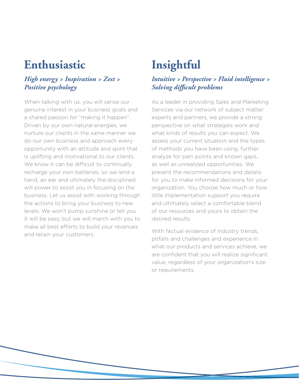## **Enthusiastic**

### *High energy > Inspiration > Zest > Positive psychology*

When talking with us, you will sense our genuine interest in your business goals and a shared passion for "making it happen". Driven by our own natural energies, we nurture our clients in the same manner we do our own business and approach every opportunity with an attitude and spirit that is uplifting and motivational to our clients. We know it can be difficult to continually recharge your own batteries, so we lend a hand, an ear and ultimately the disciplined will power to assist you in focusing on the business. Let us assist with working through the actions to bring your business to new levels. We won't pump sunshine or tell you it will be easy, but we will march with you to make all best efforts to build your revenues and retain your customers.

## **Insightful**

### *Intuitive > Perspective > Fluid intelligence >* **Solving difficult problems**

As a leader in providing Sales and Marketing Services via our network of subject matter experts and partners, we provide a strong perspective on what strategies work and what kinds of results you can expect. We assess your current situation and the types of methods you have been using, further analyze for pain points and known gaps, as well as unrealized opportunities. We present the recommendations and details for you to make informed decisions for your organization. You choose how much or how little implementation support you require and ultimately select a comfortable blend of our resources and yours to obtain the desired results.

With factual evidence of industry trends, pitfalls and challenges and experience in what our products and services achieve, we are confident that you will realize significant value, regardless of your organization's size or requirements.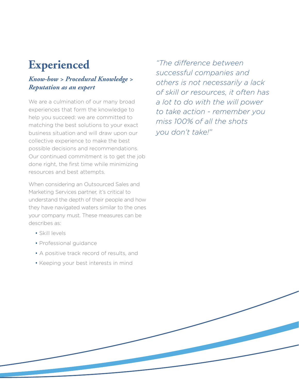## **Experienced**

### *Know-how > Procedural Knowledge > Reputation as an expert*

We are a culmination of our many broad experiences that form the knowledge to help you succeed: we are committed to matching the best solutions to your exact business situation and will draw upon our collective experience to make the best possible decisions and recommendations. Our continued commitment is to get the job done right, the first time while minimizing resources and best attempts.

When considering an Outsourced Sales and Marketing Services partner, it's critical to understand the depth of their people and how they have navigated waters similar to the ones your company must. These measures can be describes as:

- Skill levels
- Professional guidance
- A positive track record of results, and
- Keeping your best interests in mind

*"The difference between successful companies and others is not necessarily a lack of skill or resources, it often has a lot to do with the will power to take action - remember you miss 100% of all the shots you don't take!"*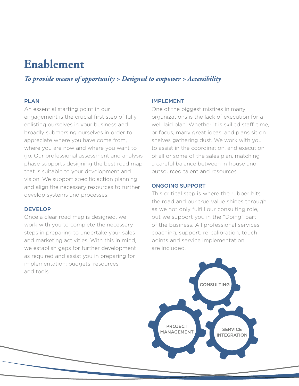### **Enablement**

*To provide means of opportunity > Designed to empower > Accessibility* 

### PLAN

An essential starting point in our engagement is the crucial first step of fully enlisting ourselves in your business and broadly submersing ourselves in order to appreciate where you have come from, where you are now and where you want to go. Our professional assessment and analysis phase supports designing the best road map that is suitable to your development and vision. We support specific action planning and align the necessary resources to further develop systems and processes.

### DEVELOP

Once a clear road map is designed, we work with you to complete the necessary steps in preparing to undertake your sales and marketing activities. With this in mind, we establish gaps for further development as required and assist you in preparing for implementation: budgets, resources, and tools.

#### IMPLEMENT

One of the biggest misfires in many organizations is the lack of execution for a well laid plan. Whether it is skilled staff, time, or focus, many great ideas, and plans sit on shelves gathering dust. We work with you to assist in the coordination, and execution of all or some of the sales plan, matching a careful balance between in-house and outsourced talent and resources.

### ONGOING SUPPORT

This critical step is where the rubber hits the road and our true value shines through as we not only fulfill our consulting role, but we support you in the "Doing" part of the business. All professional services, coaching, support, re-calibration, touch points and service implementation are included.

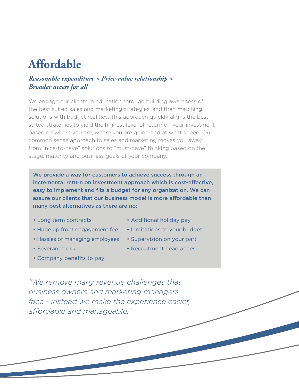## **Affordable**

### *Reasonable expenditure > Price-value relationship > Broader access for all*

We engage our clients in education through building awareness of the best suited sales and marketing strategies, and then matching solutions with budget realities. This approach quickly aligns the best suited strategies to yield the highest level of return on your investment based on where you are, where you are going and at what speed. Our common sense approach to sales and marketing moves you away from "nice-to-have" solutions to "must-have" thinking based on the stage, maturity and business goals of your company.

We provide a way for customers to achieve success through an incremental return on investment approach which is cost-effective, easy to implement and fits a budget for any organization. We can assure our clients that our business model is more affordable than many best alternatives as there are no:

- Long term contracts
- Huge up front engagement fee
- Hassles of managing employees
- Severance risk
- Company benefits to pay

• Additional holiday pay

- Limitations to your budget
- Supervision on your part
- Recruitment head aches

*"We remove many revenue challenges that business owners and marketing managers face - instead we make the experience easier, affordable and manageable."*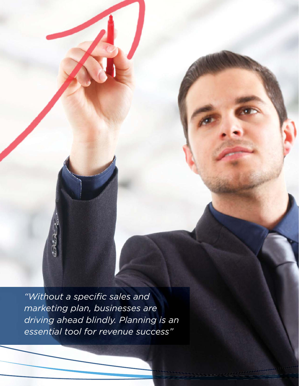"Without a specific sales and *marketing plan, businesses are driving ahead blindly. Planning is an essential tool for revenue success"*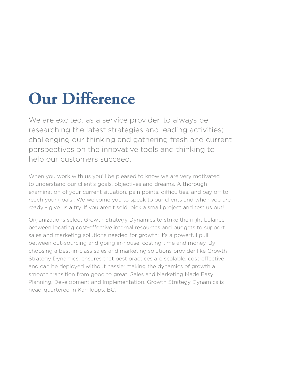## **Our Difference**

We are excited, as a service provider, to always be researching the latest strategies and leading activities; challenging our thinking and gathering fresh and current perspectives on the innovative tools and thinking to help our customers succeed.

When you work with us you'll be pleased to know we are very motivated to understand our client's goals, objectives and dreams. A thorough examination of your current situation, pain points, difficulties, and pay off to reach your goals.. We welcome you to speak to our clients and when you are ready - give us a try. If you aren't sold, pick a small project and test us out!

Organizations select Growth Strategy Dynamics to strike the right balance between locating cost-effective internal resources and budgets to support sales and marketing solutions needed for growth: it's a powerful pull between out-sourcing and going in-house, costing time and money. By choosing a best-in-class sales and marketing solutions provider like Growth Strategy Dynamics, ensures that best practices are scalable, cost-effective and can be deployed without hassle: making the dynamics of growth a smooth transition from good to great. Sales and Marketing Made Easy: Planning, Development and Implementation. Growth Strategy Dynamics is head-quartered in Kamloops, BC.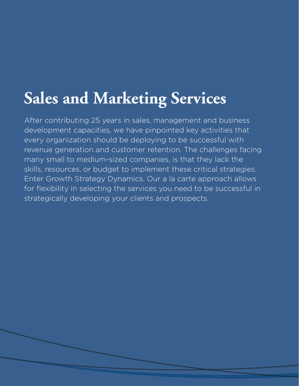## **Sales and Marketing Services**

After contributing 25 years in sales, management and business development capacities, we have pinpointed key activities that every organization should be deploying to be successful with revenue generation and customer retention. The challenges facing many small to medium-sized companies, is that they lack the skills, resources, or budget to implement these critical strategies. Enter Growth Strategy Dynamics. Our a la carte approach allows for flexibility in selecting the services you need to be successful in strategically developing your clients and prospects.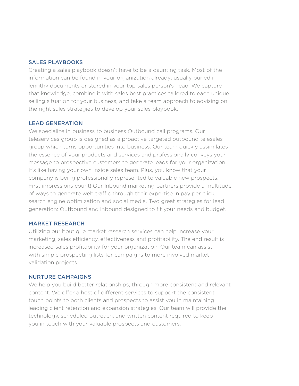### SALES PLAYBOOKS

Creating a sales playbook doesn't have to be a daunting task. Most of the information can be found in your organization already; usually buried in lengthy documents or stored in your top sales person's head. We capture that knowledge, combine it with sales best practices tailored to each unique selling situation for your business, and take a team approach to advising on the right sales strategies to develop your sales playbook.

### LEAD GENERATION

We specialize in business to business Outbound call programs. Our teleservices group is designed as a proactive targeted outbound telesales group which turns opportunities into business. Our team quickly assimilates the essence of your products and services and professionally conveys your message to prospective customers to generate leads for your organization. It's like having your own inside sales team. Plus, you know that your company is being professionally represented to valuable new prospects. First impressions count! Our Inbound marketing partners provide a multitude of ways to generate web traffic through their expertise in pay per click, search engine optimization and social media. Two great strategies for lead generation: Outbound and Inbound designed to fit your needs and budget.

### MARKET RESEARCH

Utilizing our boutique market research services can help increase your marketing, sales efficiency, effectiveness and profitability. The end result is increased sales profitability for your organization. Our team can assist with simple prospecting lists for campaigns to more involved market validation projects.

### NURTURE CAMPAIGNS

We help you build better relationships, through more consistent and relevant content. We offer a host of different services to support the consistent touch points to both clients and prospects to assist you in maintaining leading client retention and expansion strategies. Our team will provide the technology, scheduled outreach, and written content required to keep you in touch with your valuable prospects and customers.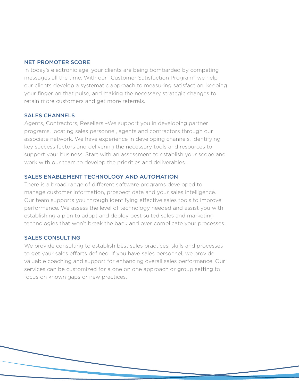### NET PROMOTER SCORE

In today's electronic age, your clients are being bombarded by competing messages all the time. With our "Customer Satisfaction Program" we help our clients develop a systematic approach to measuring satisfaction, keeping your finger on that pulse, and making the necessary strategic changes to retain more customers and get more referrals.

### SALES CHANNELS

Agents, Contractors, Resellers –We support you in developing partner programs, locating sales personnel, agents and contractors through our associate network. We have experience in developing channels, identifying key success factors and delivering the necessary tools and resources to support your business. Start with an assessment to establish your scope and work with our team to develop the priorities and deliverables.

### SALES ENABLEMENT TECHNOLOGY AND AUTOMATION

There is a broad range of different software programs developed to manage customer information, prospect data and your sales intelligence. Our team supports you through identifying effective sales tools to improve performance. We assess the level of technology needed and assist you with establishing a plan to adopt and deploy best suited sales and marketing technologies that won't break the bank and over complicate your processes.

#### SALES CONSULTING

We provide consulting to establish best sales practices, skills and processes to get your sales efforts defined. If you have sales personnel, we provide valuable coaching and support for enhancing overall sales performance. Our services can be customized for a one on one approach or group setting to focus on known gaps or new practices.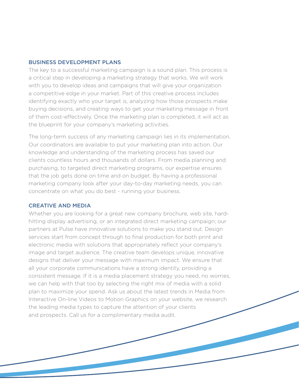### BUSINESS DEVELOPMENT PLANS

The key to a successful marketing campaign is a sound plan. This process is a critical step in developing a marketing strategy that works. We will work with you to develop ideas and campaigns that will give your organization a competitive edge in your market. Part of this creative process includes identifying exactly who your target is, analyzing how those prospects make buying decisions, and creating ways to get your marketing message in front of them cost-effectively. Once the marketing plan is completed, it will act as the blueprint for your company's marketing activities.

The long-term success of any marketing campaign lies in its implementation. Our coordinators are available to put your marketing plan into action. Our knowledge and understanding of the marketing process has saved our clients countless hours and thousands of dollars. From media planning and purchasing, to targeted direct marketing programs, our expertise ensures that the job gets done on time and on budget. By having a professional marketing company look after your day-to-day marketing needs, you can concentrate on what you do best - running your business.

#### CREATIVE AND MEDIA

Whether you are looking for a great new company brochure, web site, hardhitting display advertising, or an integrated direct marketing campaign; our partners at Pulse have innovative solutions to make you stand out. Design services start from concept through to final production for both print and electronic media with solutions that appropriately reflect your company's image and target audience. The creative team develops unique, innovative designs that deliver your message with maximum impact. We ensure that all your corporate communications have a strong identity, providing a consistent message. If it is a media placement strategy you need, no worries, we can help with that too by selecting the right mix of media with a solid plan to maximize your spend. Ask us about the latest trends in Media from Interactive On-line Videos to Motion Graphics on your website, we research the leading media types to capture the attention of your clients and prospects. Call us for a complimentary media audit.